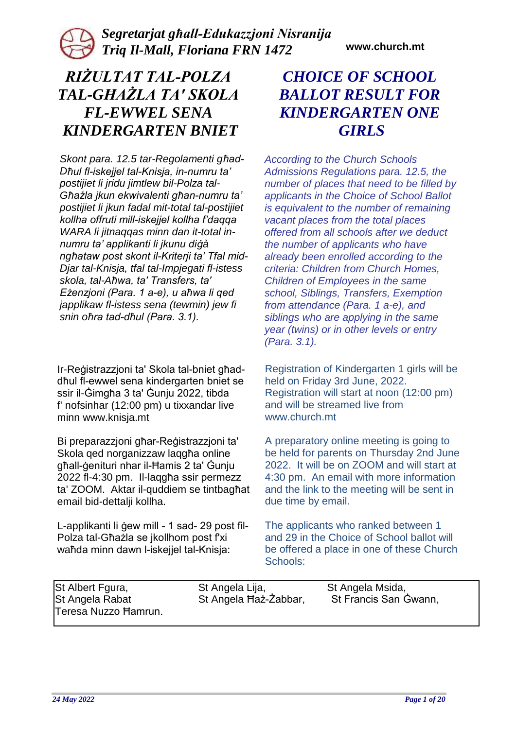# *RIŻULTAT TAL-POLZA TAL-GĦAŻLA TA' SKOLA FL-EWWEL SENA KINDERGARTEN BNIET*

*Skont para. 12.5 tar-Regolamenti għad-Dħul fl-iskejjel tal-Knisja, in-numru ta' postijiet li jridu jimtlew bil-Polza tal-Għażla jkun ekwivalenti għan-numru ta' postijiet li jkun fadal mit-total tal-postijiet kollha offruti mill-iskejjel kollha f'daqqa WARA li jitnaqqas minn dan it-total innumru ta' applikanti li jkunu diġà ngħataw post skont il-Kriterji ta' Tfal mid-Djar tal-Knisja, tfal tal-Impjegati fl-istess skola, tal-Aħwa, ta' Transfers, ta' Eżenzjoni (Para. 1 a-e), u aħwa li qed japplikaw fl-istess sena (tewmin) jew fi snin oħra tad-dħul (Para. 3.1).* 

Ir-Reġistrazzjoni ta' Skola tal-bniet għaddħul fl-ewwel sena kindergarten bniet se ssir il-Ġimgħa 3 ta' Ġunju 2022, tibda f' nofsinhar (12:00 pm) u tixxandar live minn www.knisja.mt

Bi preparazzjoni għar-Reġistrazzjoni ta' Skola qed norganizzaw laqqha online għall-ġenituri nhar il-Ħamis 2 ta' Ġunju 2022 fl-4:30 pm. Il-laqgħa ssir permezz ta' ZOOM. Aktar il-quddiem se tintbagħat email bid-dettalji kollha.

L-applikanti li ġew mill - 1 sad- 29 post fil-Polza tal-Għażla se jkollhom post f'xi waħda minn dawn l-iskejjel tal-Knisja:

# *CHOICE OF SCHOOL BALLOT RESULT FOR KINDERGARTEN ONE GIRLS*

*According to the Church Schools Admissions Regulations para. 12.5, the number of places that need to be filled by applicants in the Choice of School Ballot is equivalent to the number of remaining vacant places from the total places offered from all schools after we deduct the number of applicants who have already been enrolled according to the criteria: Children from Church Homes, Children of Employees in the same school, Siblings, Transfers, Exemption from attendance (Para. 1 a-e), and siblings who are applying in the same year (twins) or in other levels or entry (Para. 3.1).* 

Registration of Kindergarten 1 girls will be held on Friday 3rd June, 2022. Registration will start at noon (12:00 pm) and will be streamed live from www.church.mt

A preparatory online meeting is going to be held for parents on Thursday 2nd June 2022. It will be on ZOOM and will start at 4:30 pm. An email with more information and the link to the meeting will be sent in due time by email.

The applicants who ranked between 1 and 29 in the Choice of School ballot will be offered a place in one of these Church Schools:

| St Albert Fgura,     | St Angela Lija,       | St Angela Msida,      |
|----------------------|-----------------------|-----------------------|
| St Angela Rabat      | St Angela Haż-Żabbar, | St Francis San Gwann, |
| Teresa Nuzzo Hamrun. |                       |                       |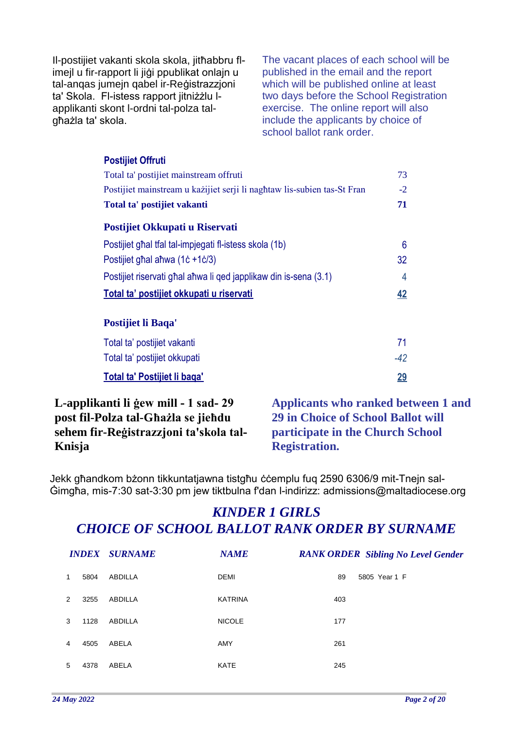Il-postijiet vakanti skola skola, jitħabbru flimejl u fir-rapport li jiġi ppublikat onlajn u tal-anqas jumejn qabel ir-Reġistrazzjoni ta' Skola. Fl-istess rapport jitniżżlu lapplikanti skont l-ordni tal-polza talgħażla ta' skola.

The vacant places of each school will be published in the email and the report which will be published online at least two days before the School Registration exercise. The online report will also include the applicants by choice of school ballot rank order.

| <b>Postijiet Offruti</b>                                                |           |
|-------------------------------------------------------------------------|-----------|
| Total ta' postijiet mainstream offruti                                  | 73        |
| Postijiet mainstream u każijiet serji li naghtaw lis-subien tas-St Fran | $-2$      |
| Total ta' postijiet vakanti                                             | 71        |
| Postijiet Okkupati u Riservati                                          |           |
| Postijiet ghal tfal tal-impjegati fl-istess skola (1b)                  | 6         |
| Postijiet ghal ahwa (1c +1c/3)                                          | 32        |
| Postijiet riservati ghal ahwa li qed japplikaw din is-sena (3.1)        | 4         |
| <u>Total ta' postijiet okkupati u riservati</u>                         | 42        |
| Postijiet li Baqa'                                                      |           |
|                                                                         |           |
| Total ta' postijiet vakanti                                             | 71        |
| Total ta' postijiet okkupati                                            | $-42$     |
| <b>Total ta' Postijiet li baga'</b>                                     | <u>29</u> |

#### **L-applikanti li ġew mill - 1 sad- 29 post fil-Polza tal-Għażla se jieħdu sehem fir-Reġistrazzjoni ta'skola tal-Knisja**

**Applicants who ranked between 1 and 29 in Choice of School Ballot will participate in the Church School Registration.**

Jekk għandkom bżonn tikkuntatjawna tistgħu ċċemplu fuq 2590 6306/9 mit-Tnejn sal-Ġimgħa, mis-7:30 sat-3:30 pm jew tiktbulna f'dan l-indirizz: admissions@maltadiocese.org

|               |      | <b>INDEX SURNAME</b> | <b>NAME</b>    | <b>RANK ORDER Sibling No Level Gender</b> |
|---------------|------|----------------------|----------------|-------------------------------------------|
| 1             | 5804 | ABDILLA              | <b>DEMI</b>    | 5805 Year 1 F<br>89                       |
| $\mathcal{P}$ | 3255 | ABDILLA              | <b>KATRINA</b> | 403                                       |
| 3             | 1128 | ABDILLA              | <b>NICOLE</b>  | 177                                       |
| 4             | 4505 | ABELA                | AMY            | 261                                       |
| 5             | 4378 | ABELA                | <b>KATE</b>    | 245                                       |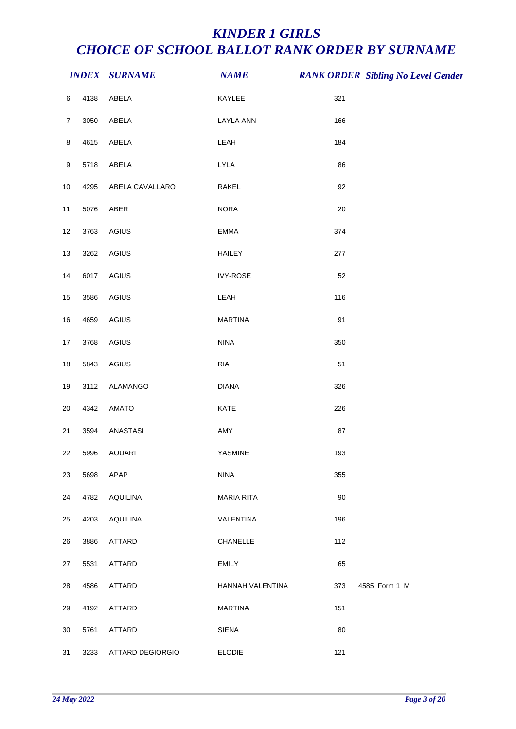|                |      | <b>INDEX SURNAME</b> | <b>NAME</b>       |        | <b>RANK ORDER Sibling No Level Gender</b> |
|----------------|------|----------------------|-------------------|--------|-------------------------------------------|
| 6              | 4138 | ABELA                | KAYLEE            | 321    |                                           |
| $\overline{7}$ | 3050 | ABELA                | <b>LAYLA ANN</b>  | 166    |                                           |
| 8              | 4615 | ABELA                | LEAH              | 184    |                                           |
| 9              | 5718 | ABELA                | <b>LYLA</b>       | 86     |                                           |
| $10\,$         | 4295 | ABELA CAVALLARO      | RAKEL             | 92     |                                           |
| 11             | 5076 | ABER                 | <b>NORA</b>       | $20\,$ |                                           |
| 12             | 3763 | AGIUS                | EMMA              | 374    |                                           |
| 13             | 3262 | AGIUS                | <b>HAILEY</b>     | 277    |                                           |
| 14             | 6017 | AGIUS                | <b>IVY-ROSE</b>   | 52     |                                           |
| 15             | 3586 | AGIUS                | LEAH              | 116    |                                           |
| 16             | 4659 | AGIUS                | <b>MARTINA</b>    | 91     |                                           |
| 17             | 3768 | AGIUS                | <b>NINA</b>       | 350    |                                           |
| $18\,$         | 5843 | AGIUS                | <b>RIA</b>        | 51     |                                           |
| 19             | 3112 | ALAMANGO             | <b>DIANA</b>      | 326    |                                           |
| 20             | 4342 | AMATO                | KATE              | 226    |                                           |
| 21             | 3594 | ANASTASI             | AMY               | 87     |                                           |
| 22             | 5996 | AOUARI               | YASMINE           | 193    |                                           |
| 23             | 5698 | APAP                 | <b>NINA</b>       | 355    |                                           |
| 24             | 4782 | <b>AQUILINA</b>      | <b>MARIA RITA</b> | 90     |                                           |
| 25             | 4203 | <b>AQUILINA</b>      | VALENTINA         | 196    |                                           |
| 26             | 3886 | ATTARD               | CHANELLE          | 112    |                                           |
| 27             | 5531 | ATTARD               | <b>EMILY</b>      | 65     |                                           |
| 28             | 4586 | ATTARD               | HANNAH VALENTINA  | 373    | 4585 Form 1 M                             |
| 29             | 4192 | ATTARD               | <b>MARTINA</b>    | 151    |                                           |
| 30             | 5761 | ATTARD               | SIENA             | 80     |                                           |
| 31             | 3233 | ATTARD DEGIORGIO     | <b>ELODIE</b>     | 121    |                                           |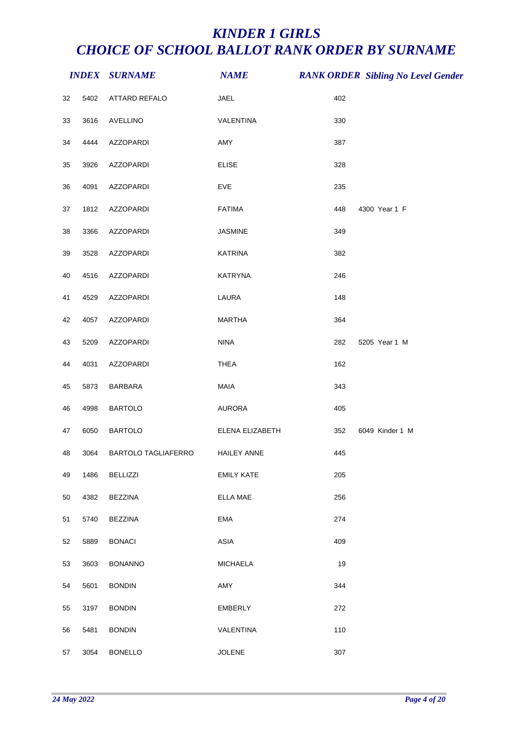|    |      | <b>INDEX SURNAME</b>       | <b>NAME</b>        |     | <b>RANK ORDER Sibling No Level Gender</b> |
|----|------|----------------------------|--------------------|-----|-------------------------------------------|
| 32 | 5402 | ATTARD REFALO              | JAEL               | 402 |                                           |
| 33 | 3616 | <b>AVELLINO</b>            | VALENTINA          | 330 |                                           |
| 34 | 4444 | AZZOPARDI                  | AMY                | 387 |                                           |
| 35 | 3926 | <b>AZZOPARDI</b>           | <b>ELISE</b>       | 328 |                                           |
| 36 | 4091 | AZZOPARDI                  | EVE                | 235 |                                           |
| 37 | 1812 | <b>AZZOPARDI</b>           | <b>FATIMA</b>      | 448 | 4300 Year 1 F                             |
| 38 | 3366 | AZZOPARDI                  | JASMINE            | 349 |                                           |
| 39 | 3528 | <b>AZZOPARDI</b>           | <b>KATRINA</b>     | 382 |                                           |
| 40 | 4516 | <b>AZZOPARDI</b>           | <b>KATRYNA</b>     | 246 |                                           |
| 41 | 4529 | <b>AZZOPARDI</b>           | LAURA              | 148 |                                           |
| 42 | 4057 | AZZOPARDI                  | <b>MARTHA</b>      | 364 |                                           |
| 43 | 5209 | AZZOPARDI                  | <b>NINA</b>        | 282 | 5205 Year 1 M                             |
| 44 | 4031 | AZZOPARDI                  | <b>THEA</b>        | 162 |                                           |
| 45 | 5873 | <b>BARBARA</b>             | MAIA               | 343 |                                           |
| 46 | 4998 | <b>BARTOLO</b>             | AURORA             | 405 |                                           |
| 47 | 6050 | <b>BARTOLO</b>             | ELENA ELIZABETH    | 352 | 6049 Kinder 1 M                           |
| 48 | 3064 | <b>BARTOLO TAGLIAFERRO</b> | <b>HAILEY ANNE</b> | 445 |                                           |
| 49 | 1486 | <b>BELLIZZI</b>            | <b>EMILY KATE</b>  | 205 |                                           |
| 50 | 4382 | <b>BEZZINA</b>             | <b>ELLA MAE</b>    | 256 |                                           |
| 51 | 5740 | <b>BEZZINA</b>             | EMA                | 274 |                                           |
| 52 | 5889 | <b>BONACI</b>              | ASIA               | 409 |                                           |
| 53 | 3603 | <b>BONANNO</b>             | <b>MICHAELA</b>    | 19  |                                           |
| 54 | 5601 | <b>BONDIN</b>              | AMY                | 344 |                                           |
| 55 | 3197 | <b>BONDIN</b>              | <b>EMBERLY</b>     | 272 |                                           |
| 56 | 5481 | <b>BONDIN</b>              | VALENTINA          | 110 |                                           |
| 57 | 3054 | <b>BONELLO</b>             | <b>JOLENE</b>      | 307 |                                           |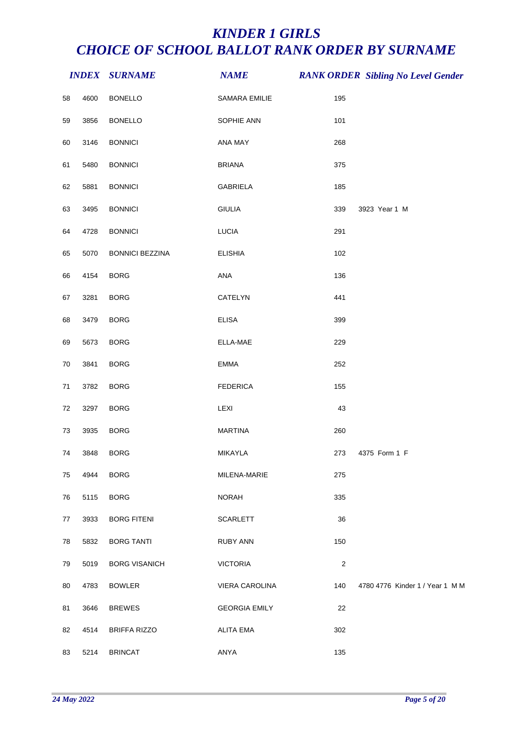|    |      | <b>INDEX SURNAME</b>   | <b>NAME</b>          |                | <b>RANK ORDER Sibling No Level Gender</b> |
|----|------|------------------------|----------------------|----------------|-------------------------------------------|
| 58 | 4600 | <b>BONELLO</b>         | SAMARA EMILIE        | 195            |                                           |
| 59 | 3856 | <b>BONELLO</b>         | SOPHIE ANN           | 101            |                                           |
| 60 | 3146 | <b>BONNICI</b>         | ANA MAY              | 268            |                                           |
| 61 | 5480 | <b>BONNICI</b>         | <b>BRIANA</b>        | 375            |                                           |
| 62 | 5881 | <b>BONNICI</b>         | GABRIELA             | 185            |                                           |
| 63 | 3495 | <b>BONNICI</b>         | <b>GIULIA</b>        | 339            | 3923 Year 1 M                             |
| 64 | 4728 | <b>BONNICI</b>         | <b>LUCIA</b>         | 291            |                                           |
| 65 | 5070 | <b>BONNICI BEZZINA</b> | <b>ELISHIA</b>       | 102            |                                           |
| 66 | 4154 | <b>BORG</b>            | ANA                  | 136            |                                           |
| 67 | 3281 | <b>BORG</b>            | CATELYN              | 441            |                                           |
| 68 | 3479 | <b>BORG</b>            | <b>ELISA</b>         | 399            |                                           |
| 69 | 5673 | <b>BORG</b>            | ELLA-MAE             | 229            |                                           |
| 70 | 3841 | <b>BORG</b>            | <b>EMMA</b>          | 252            |                                           |
| 71 | 3782 | <b>BORG</b>            | <b>FEDERICA</b>      | 155            |                                           |
| 72 | 3297 | <b>BORG</b>            | LEXI                 | 43             |                                           |
| 73 | 3935 | <b>BORG</b>            | <b>MARTINA</b>       | 260            |                                           |
| 74 | 3848 | <b>BORG</b>            | MIKAYLA              | 273            | 4375 Form 1 F                             |
| 75 | 4944 | <b>BORG</b>            | MILENA-MARIE         | 275            |                                           |
| 76 | 5115 | <b>BORG</b>            | <b>NORAH</b>         | 335            |                                           |
| 77 | 3933 | <b>BORG FITENI</b>     | <b>SCARLETT</b>      | 36             |                                           |
| 78 | 5832 | <b>BORG TANTI</b>      | RUBY ANN             | 150            |                                           |
| 79 | 5019 | <b>BORG VISANICH</b>   | <b>VICTORIA</b>      | $\overline{c}$ |                                           |
| 80 | 4783 | <b>BOWLER</b>          | VIERA CAROLINA       | 140            | 4780 4776 Kinder 1 / Year 1 M M           |
| 81 | 3646 | <b>BREWES</b>          | <b>GEORGIA EMILY</b> | 22             |                                           |
| 82 | 4514 | <b>BRIFFA RIZZO</b>    | <b>ALITA EMA</b>     | 302            |                                           |
| 83 | 5214 | <b>BRINCAT</b>         | ANYA                 | 135            |                                           |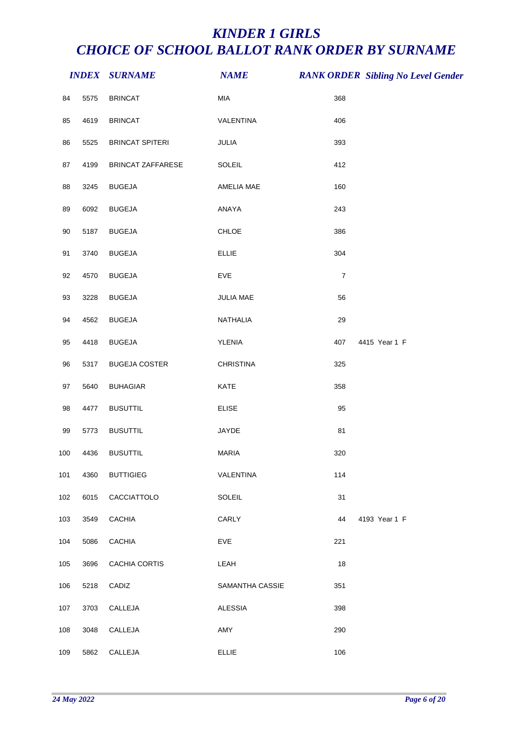|     |      | <b>INDEX SURNAME</b>   | <b>NAME</b>      |                | <b>RANK ORDER Sibling No Level Gender</b> |
|-----|------|------------------------|------------------|----------------|-------------------------------------------|
| 84  | 5575 | <b>BRINCAT</b>         | MIA              | 368            |                                           |
| 85  | 4619 | <b>BRINCAT</b>         | VALENTINA        | 406            |                                           |
| 86  | 5525 | <b>BRINCAT SPITERI</b> | JULIA            | 393            |                                           |
| 87  | 4199 | BRINCAT ZAFFARESE      | SOLEIL           | 412            |                                           |
| 88  | 3245 | <b>BUGEJA</b>          | AMELIA MAE       | 160            |                                           |
| 89  | 6092 | <b>BUGEJA</b>          | ANAYA            | 243            |                                           |
| 90  | 5187 | <b>BUGEJA</b>          | CHLOE            | 386            |                                           |
| 91  | 3740 | <b>BUGEJA</b>          | <b>ELLIE</b>     | 304            |                                           |
| 92  | 4570 | <b>BUGEJA</b>          | EVE              | $\overline{7}$ |                                           |
| 93  | 3228 | <b>BUGEJA</b>          | JULIA MAE        | 56             |                                           |
| 94  | 4562 | <b>BUGEJA</b>          | NATHALIA         | 29             |                                           |
| 95  | 4418 | <b>BUGEJA</b>          | YLENIA           | 407            | 4415 Year 1 F                             |
| 96  | 5317 | <b>BUGEJA COSTER</b>   | <b>CHRISTINA</b> | 325            |                                           |
| 97  | 5640 | <b>BUHAGIAR</b>        | KATE             | 358            |                                           |
| 98  | 4477 | <b>BUSUTTIL</b>        | <b>ELISE</b>     | 95             |                                           |
| 99  | 5773 | <b>BUSUTTIL</b>        | JAYDE            | 81             |                                           |
| 100 | 4436 | <b>BUSUTTIL</b>        | <b>MARIA</b>     | 320            |                                           |
| 101 | 4360 | <b>BUTTIGIEG</b>       | VALENTINA        | 114            |                                           |
| 102 | 6015 | CACCIATTOLO            | <b>SOLEIL</b>    | 31             |                                           |
| 103 | 3549 | <b>CACHIA</b>          | CARLY            | 44             | 4193 Year 1 F                             |
| 104 | 5086 | <b>CACHIA</b>          | <b>EVE</b>       | 221            |                                           |
| 105 | 3696 | CACHIA CORTIS          | LEAH             | 18             |                                           |
| 106 | 5218 | CADIZ                  | SAMANTHA CASSIE  | 351            |                                           |
| 107 | 3703 | CALLEJA                | <b>ALESSIA</b>   | 398            |                                           |
| 108 | 3048 | CALLEJA                | AMY              | 290            |                                           |
| 109 | 5862 | CALLEJA                | <b>ELLIE</b>     | 106            |                                           |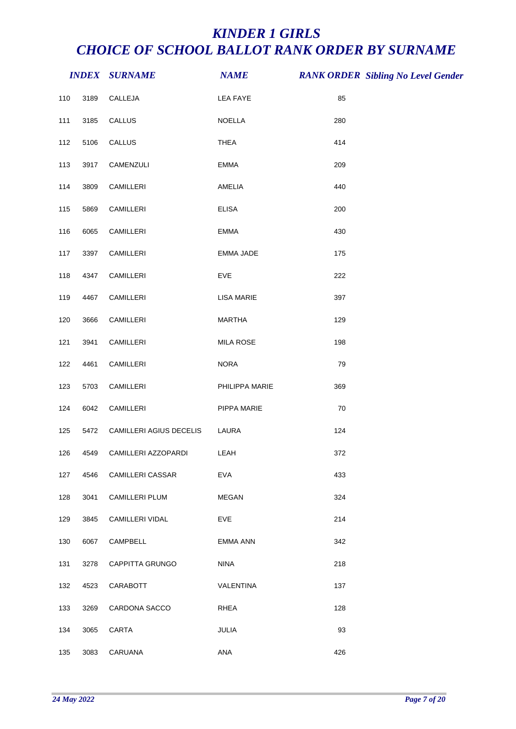|     |      | <b>INDEX SURNAME</b>    | <b>NAME</b>       |     | <b>RANK ORDER Sibling No Level Gender</b> |
|-----|------|-------------------------|-------------------|-----|-------------------------------------------|
| 110 | 3189 | CALLEJA                 | <b>LEA FAYE</b>   | 85  |                                           |
| 111 | 3185 | CALLUS                  | NOELLA            | 280 |                                           |
| 112 | 5106 | CALLUS                  | <b>THEA</b>       | 414 |                                           |
| 113 | 3917 | CAMENZULI               | EMMA              | 209 |                                           |
| 114 | 3809 | CAMILLERI               | AMELIA            | 440 |                                           |
| 115 | 5869 | CAMILLERI               | <b>ELISA</b>      | 200 |                                           |
| 116 | 6065 | CAMILLERI               | <b>EMMA</b>       | 430 |                                           |
| 117 | 3397 | CAMILLERI               | EMMA JADE         | 175 |                                           |
| 118 | 4347 | CAMILLERI               | EVE               | 222 |                                           |
| 119 | 4467 | CAMILLERI               | <b>LISA MARIE</b> | 397 |                                           |
| 120 | 3666 | CAMILLERI               | <b>MARTHA</b>     | 129 |                                           |
| 121 | 3941 | CAMILLERI               | <b>MILA ROSE</b>  | 198 |                                           |
| 122 | 4461 | CAMILLERI               | <b>NORA</b>       | 79  |                                           |
| 123 | 5703 | CAMILLERI               | PHILIPPA MARIE    | 369 |                                           |
| 124 | 6042 | CAMILLERI               | PIPPA MARIE       | 70  |                                           |
| 125 | 5472 | CAMILLERI AGIUS DECELIS | LAURA             | 124 |                                           |
| 126 | 4549 | CAMILLERI AZZOPARDI     | LEAH              | 372 |                                           |
| 127 | 4546 | CAMILLERI CASSAR        | <b>EVA</b>        | 433 |                                           |
| 128 | 3041 | <b>CAMILLERI PLUM</b>   | MEGAN             | 324 |                                           |
| 129 | 3845 | CAMILLERI VIDAL         | <b>EVE</b>        | 214 |                                           |
| 130 | 6067 | CAMPBELL                | EMMA ANN          | 342 |                                           |
| 131 | 3278 | CAPPITTA GRUNGO         | <b>NINA</b>       | 218 |                                           |
| 132 | 4523 | CARABOTT                | VALENTINA         | 137 |                                           |
| 133 | 3269 | CARDONA SACCO           | RHEA              | 128 |                                           |
| 134 | 3065 | CARTA                   | JULIA             | 93  |                                           |
| 135 | 3083 | CARUANA                 | ANA               | 426 |                                           |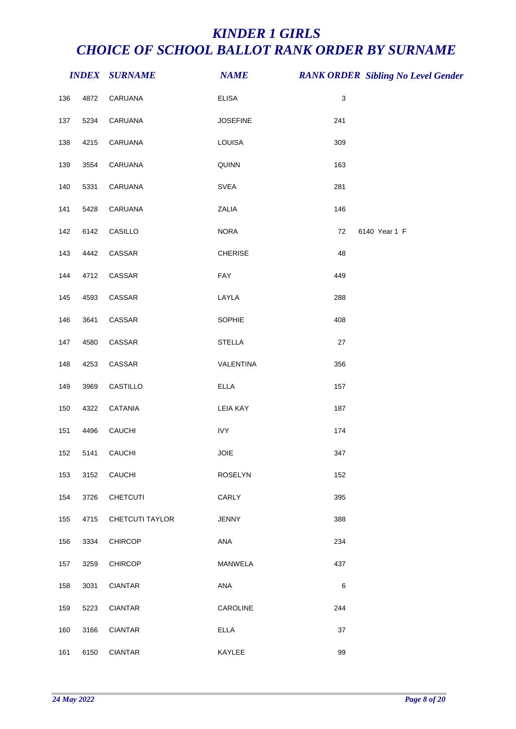|     |      | <b>INDEX SURNAME</b> | <b>NAME</b>     |                           | <b>RANK ORDER Sibling No Level Gender</b> |
|-----|------|----------------------|-----------------|---------------------------|-------------------------------------------|
| 136 | 4872 | CARUANA              | <b>ELISA</b>    | $\ensuremath{\mathsf{3}}$ |                                           |
| 137 | 5234 | CARUANA              | <b>JOSEFINE</b> | 241                       |                                           |
| 138 | 4215 | CARUANA              | LOUISA          | 309                       |                                           |
| 139 | 3554 | CARUANA              | QUINN           | 163                       |                                           |
| 140 | 5331 | CARUANA              | SVEA            | 281                       |                                           |
| 141 | 5428 | CARUANA              | ZALIA           | 146                       |                                           |
| 142 | 6142 | CASILLO              | <b>NORA</b>     | 72                        | 6140 Year 1 F                             |
| 143 | 4442 | CASSAR               | CHERISE         | 48                        |                                           |
| 144 | 4712 | CASSAR               | FAY             | 449                       |                                           |
| 145 | 4593 | CASSAR               | LAYLA           | 288                       |                                           |
| 146 | 3641 | CASSAR               | SOPHIE          | 408                       |                                           |
| 147 | 4580 | CASSAR               | <b>STELLA</b>   | 27                        |                                           |
| 148 | 4253 | CASSAR               | VALENTINA       | 356                       |                                           |
| 149 | 3969 | CASTILLO             | <b>ELLA</b>     | 157                       |                                           |
| 150 | 4322 | CATANIA              | <b>LEIA KAY</b> | 187                       |                                           |
| 151 | 4496 | CAUCHI               | <b>IVY</b>      | 174                       |                                           |
| 152 | 5141 | <b>CAUCHI</b>        | <b>JOIE</b>     | 347                       |                                           |
| 153 | 3152 | CAUCHI               | <b>ROSELYN</b>  | 152                       |                                           |
| 154 | 3726 | CHETCUTI             | CARLY           | 395                       |                                           |
| 155 | 4715 | CHETCUTI TAYLOR      | <b>JENNY</b>    | 388                       |                                           |
| 156 | 3334 | <b>CHIRCOP</b>       | ANA             | 234                       |                                           |
| 157 | 3259 | <b>CHIRCOP</b>       | MANWELA         | 437                       |                                           |
| 158 | 3031 | <b>CIANTAR</b>       | ANA             | $\,6$                     |                                           |
| 159 | 5223 | <b>CIANTAR</b>       | CAROLINE        | 244                       |                                           |
| 160 | 3166 | <b>CIANTAR</b>       | <b>ELLA</b>     | 37                        |                                           |
| 161 | 6150 | <b>CIANTAR</b>       | KAYLEE          | 99                        |                                           |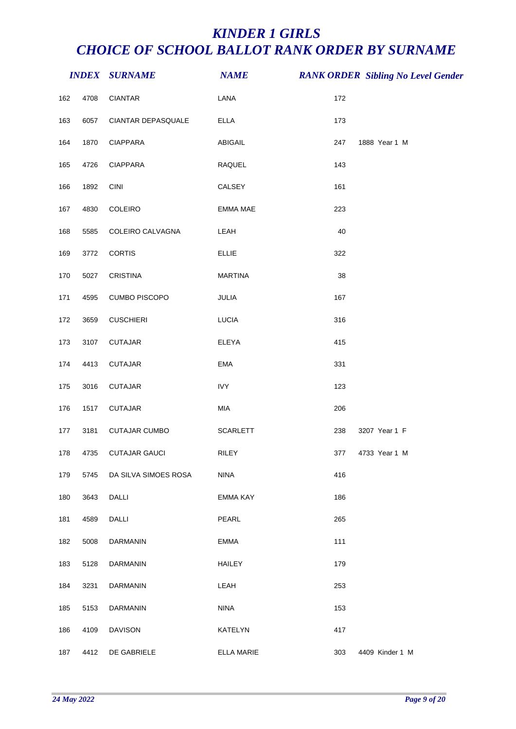|     |      | <b>INDEX SURNAME</b> | <b>NAME</b>       |     | <b>RANK ORDER Sibling No Level Gender</b> |
|-----|------|----------------------|-------------------|-----|-------------------------------------------|
| 162 | 4708 | <b>CIANTAR</b>       | LANA              | 172 |                                           |
| 163 | 6057 | CIANTAR DEPASQUALE   | <b>ELLA</b>       | 173 |                                           |
| 164 | 1870 | <b>CIAPPARA</b>      | ABIGAIL           | 247 | 1888 Year 1 M                             |
| 165 | 4726 | <b>CIAPPARA</b>      | RAQUEL            | 143 |                                           |
| 166 | 1892 | CINI                 | CALSEY            | 161 |                                           |
| 167 | 4830 | COLEIRO              | <b>EMMA MAE</b>   | 223 |                                           |
| 168 | 5585 | COLEIRO CALVAGNA     | LEAH              | 40  |                                           |
| 169 | 3772 | <b>CORTIS</b>        | <b>ELLIE</b>      | 322 |                                           |
| 170 | 5027 | <b>CRISTINA</b>      | <b>MARTINA</b>    | 38  |                                           |
| 171 | 4595 | <b>CUMBO PISCOPO</b> | JULIA             | 167 |                                           |
| 172 | 3659 | <b>CUSCHIERI</b>     | <b>LUCIA</b>      | 316 |                                           |
| 173 | 3107 | <b>CUTAJAR</b>       | ELEYA             | 415 |                                           |
| 174 | 4413 | <b>CUTAJAR</b>       | <b>EMA</b>        | 331 |                                           |
| 175 | 3016 | <b>CUTAJAR</b>       | <b>IVY</b>        | 123 |                                           |
| 176 | 1517 | <b>CUTAJAR</b>       | MIA               | 206 |                                           |
| 177 | 3181 | <b>CUTAJAR CUMBO</b> | <b>SCARLETT</b>   | 238 | 3207 Year 1 F                             |
| 178 | 4735 | <b>CUTAJAR GAUCI</b> | RILEY             | 377 | 4733 Year 1 M                             |
| 179 | 5745 | DA SILVA SIMOES ROSA | <b>NINA</b>       | 416 |                                           |
| 180 | 3643 | DALLI                | EMMA KAY          | 186 |                                           |
| 181 | 4589 | <b>DALLI</b>         | PEARL             | 265 |                                           |
| 182 | 5008 | DARMANIN             | <b>EMMA</b>       | 111 |                                           |
| 183 | 5128 | DARMANIN             | <b>HAILEY</b>     | 179 |                                           |
| 184 | 3231 | <b>DARMANIN</b>      | LEAH              | 253 |                                           |
| 185 | 5153 | DARMANIN             | <b>NINA</b>       | 153 |                                           |
| 186 | 4109 | <b>DAVISON</b>       | KATELYN           | 417 |                                           |
| 187 | 4412 | DE GABRIELE          | <b>ELLA MARIE</b> | 303 | 4409 Kinder 1 M                           |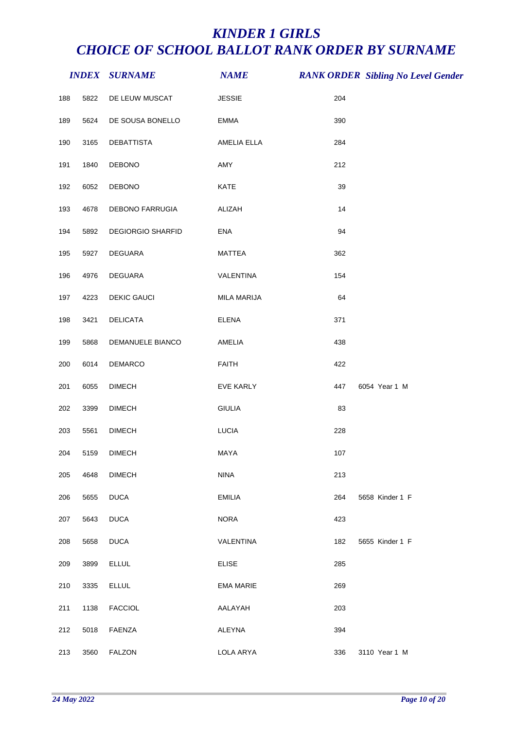|     |      | <b>INDEX SURNAME</b>     | <b>NAME</b>      |     | <b>RANK ORDER Sibling No Level Gender</b> |
|-----|------|--------------------------|------------------|-----|-------------------------------------------|
| 188 | 5822 | DE LEUW MUSCAT           | <b>JESSIE</b>    | 204 |                                           |
| 189 | 5624 | DE SOUSA BONELLO         | <b>EMMA</b>      | 390 |                                           |
| 190 | 3165 | DEBATTISTA               | AMELIA ELLA      | 284 |                                           |
| 191 | 1840 | DEBONO                   | AMY              | 212 |                                           |
| 192 | 6052 | <b>DEBONO</b>            | KATE             | 39  |                                           |
| 193 | 4678 | DEBONO FARRUGIA          | ALIZAH           | 14  |                                           |
| 194 | 5892 | <b>DEGIORGIO SHARFID</b> | ENA              | 94  |                                           |
| 195 | 5927 | DEGUARA                  | <b>MATTEA</b>    | 362 |                                           |
| 196 | 4976 | DEGUARA                  | VALENTINA        | 154 |                                           |
| 197 | 4223 | <b>DEKIC GAUCI</b>       | MILA MARIJA      | 64  |                                           |
| 198 | 3421 | <b>DELICATA</b>          | ELENA            | 371 |                                           |
| 199 | 5868 | DEMANUELE BIANCO         | AMELIA           | 438 |                                           |
| 200 | 6014 | DEMARCO                  | <b>FAITH</b>     | 422 |                                           |
| 201 | 6055 | <b>DIMECH</b>            | EVE KARLY        | 447 | 6054 Year 1 M                             |
| 202 | 3399 | <b>DIMECH</b>            | <b>GIULIA</b>    | 83  |                                           |
| 203 | 5561 | <b>DIMECH</b>            | LUCIA            | 228 |                                           |
| 204 | 5159 | <b>DIMECH</b>            | MAYA             | 107 |                                           |
| 205 | 4648 | <b>DIMECH</b>            | <b>NINA</b>      | 213 |                                           |
| 206 | 5655 | <b>DUCA</b>              | <b>EMILIA</b>    | 264 | 5658 Kinder 1 F                           |
| 207 | 5643 | <b>DUCA</b>              | <b>NORA</b>      | 423 |                                           |
| 208 | 5658 | <b>DUCA</b>              | VALENTINA        | 182 | 5655 Kinder 1 F                           |
| 209 | 3899 | <b>ELLUL</b>             | <b>ELISE</b>     | 285 |                                           |
| 210 | 3335 | <b>ELLUL</b>             | <b>EMA MARIE</b> | 269 |                                           |
| 211 | 1138 | <b>FACCIOL</b>           | AALAYAH          | 203 |                                           |
| 212 | 5018 | FAENZA                   | ALEYNA           | 394 |                                           |
| 213 | 3560 | <b>FALZON</b>            | LOLA ARYA        | 336 | 3110 Year 1 M                             |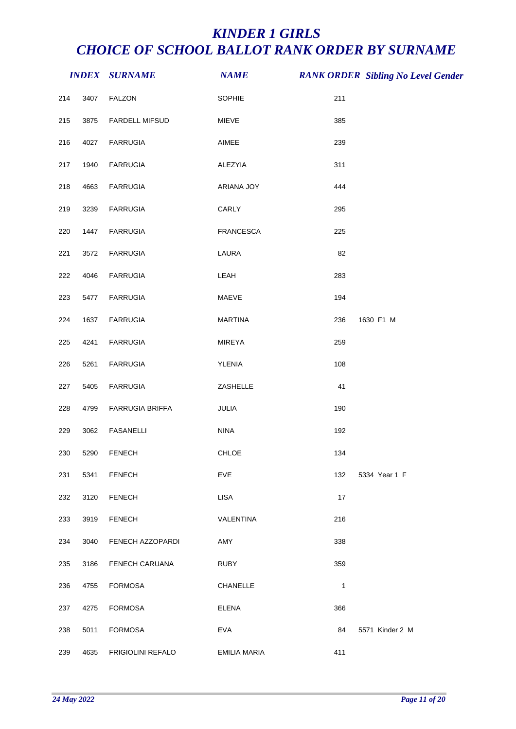|     |      | <b>INDEX SURNAME</b>     | <b>NAME</b>         |     | <b>RANK ORDER Sibling No Level Gender</b> |
|-----|------|--------------------------|---------------------|-----|-------------------------------------------|
| 214 | 3407 | <b>FALZON</b>            | SOPHIE              | 211 |                                           |
| 215 | 3875 | FARDELL MIFSUD           | MIEVE               | 385 |                                           |
| 216 | 4027 | <b>FARRUGIA</b>          | AIMEE               | 239 |                                           |
| 217 | 1940 | <b>FARRUGIA</b>          | ALEZYIA             | 311 |                                           |
| 218 | 4663 | <b>FARRUGIA</b>          | ARIANA JOY          | 444 |                                           |
| 219 | 3239 | <b>FARRUGIA</b>          | CARLY               | 295 |                                           |
| 220 | 1447 | <b>FARRUGIA</b>          | FRANCESCA           | 225 |                                           |
| 221 | 3572 | <b>FARRUGIA</b>          | LAURA               | 82  |                                           |
| 222 | 4046 | <b>FARRUGIA</b>          | LEAH                | 283 |                                           |
| 223 | 5477 | <b>FARRUGIA</b>          | MAEVE               | 194 |                                           |
| 224 | 1637 | <b>FARRUGIA</b>          | <b>MARTINA</b>      | 236 | 1630 F1 M                                 |
| 225 | 4241 | <b>FARRUGIA</b>          | MIREYA              | 259 |                                           |
| 226 | 5261 | <b>FARRUGIA</b>          | YLENIA              | 108 |                                           |
| 227 | 5405 | <b>FARRUGIA</b>          | ZASHELLE            | 41  |                                           |
| 228 | 4799 | FARRUGIA BRIFFA          | JULIA               | 190 |                                           |
| 229 | 3062 | <b>FASANELLI</b>         | <b>NINA</b>         | 192 |                                           |
| 230 | 5290 | <b>FENECH</b>            | CHLOE               | 134 |                                           |
| 231 | 5341 | <b>FENECH</b>            | <b>EVE</b>          | 132 | 5334 Year 1 F                             |
| 232 | 3120 | <b>FENECH</b>            | <b>LISA</b>         | 17  |                                           |
| 233 | 3919 | <b>FENECH</b>            | VALENTINA           | 216 |                                           |
| 234 | 3040 | FENECH AZZOPARDI         | AMY                 | 338 |                                           |
| 235 | 3186 | FENECH CARUANA           | <b>RUBY</b>         | 359 |                                           |
| 236 | 4755 | <b>FORMOSA</b>           | CHANELLE            | 1   |                                           |
| 237 | 4275 | <b>FORMOSA</b>           | <b>ELENA</b>        | 366 |                                           |
| 238 | 5011 | <b>FORMOSA</b>           | <b>EVA</b>          | 84  | 5571 Kinder 2 M                           |
| 239 | 4635 | <b>FRIGIOLINI REFALO</b> | <b>EMILIA MARIA</b> | 411 |                                           |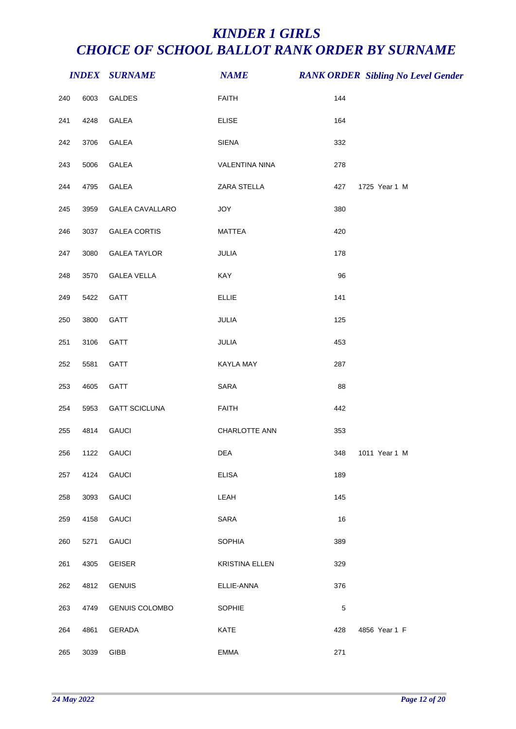|     |      | <b>INDEX SURNAME</b>  | <b>NAME</b>           |             | <b>RANK ORDER Sibling No Level Gender</b> |
|-----|------|-----------------------|-----------------------|-------------|-------------------------------------------|
| 240 | 6003 | GALDES                | <b>FAITH</b>          | 144         |                                           |
| 241 | 4248 | GALEA                 | <b>ELISE</b>          | 164         |                                           |
| 242 | 3706 | GALEA                 | <b>SIENA</b>          | 332         |                                           |
| 243 | 5006 | GALEA                 | <b>VALENTINA NINA</b> | 278         |                                           |
| 244 | 4795 | GALEA                 | ZARA STELLA           | 427         | 1725 Year 1 M                             |
| 245 | 3959 | GALEA CAVALLARO       | JOY                   | 380         |                                           |
| 246 | 3037 | <b>GALEA CORTIS</b>   | <b>MATTEA</b>         | 420         |                                           |
| 247 | 3080 | <b>GALEA TAYLOR</b>   | JULIA                 | 178         |                                           |
| 248 | 3570 | <b>GALEA VELLA</b>    | KAY                   | 96          |                                           |
| 249 | 5422 | GATT                  | <b>ELLIE</b>          | 141         |                                           |
| 250 | 3800 | GATT                  | JULIA                 | 125         |                                           |
| 251 | 3106 | GATT                  | JULIA                 | 453         |                                           |
| 252 | 5581 | GATT                  | KAYLA MAY             | 287         |                                           |
| 253 | 4605 | GATT                  | SARA                  | 88          |                                           |
| 254 | 5953 | <b>GATT SCICLUNA</b>  | <b>FAITH</b>          | 442         |                                           |
| 255 | 4814 | <b>GAUCI</b>          | CHARLOTTE ANN         | 353         |                                           |
| 256 | 1122 | <b>GAUCI</b>          | DEA                   | 348         | 1011 Year 1 M                             |
| 257 | 4124 | <b>GAUCI</b>          | <b>ELISA</b>          | 189         |                                           |
| 258 | 3093 | <b>GAUCI</b>          | LEAH                  | 145         |                                           |
| 259 | 4158 | <b>GAUCI</b>          | SARA                  | 16          |                                           |
| 260 | 5271 | <b>GAUCI</b>          | SOPHIA                | 389         |                                           |
| 261 | 4305 | <b>GEISER</b>         | <b>KRISTINA ELLEN</b> | 329         |                                           |
| 262 | 4812 | <b>GENUIS</b>         | ELLIE-ANNA            | 376         |                                           |
| 263 | 4749 | <b>GENUIS COLOMBO</b> | <b>SOPHIE</b>         | $\,$ 5 $\,$ |                                           |
| 264 | 4861 | GERADA                | KATE                  | 428         | 4856 Year 1 F                             |
| 265 | 3039 | GIBB                  | <b>EMMA</b>           | 271         |                                           |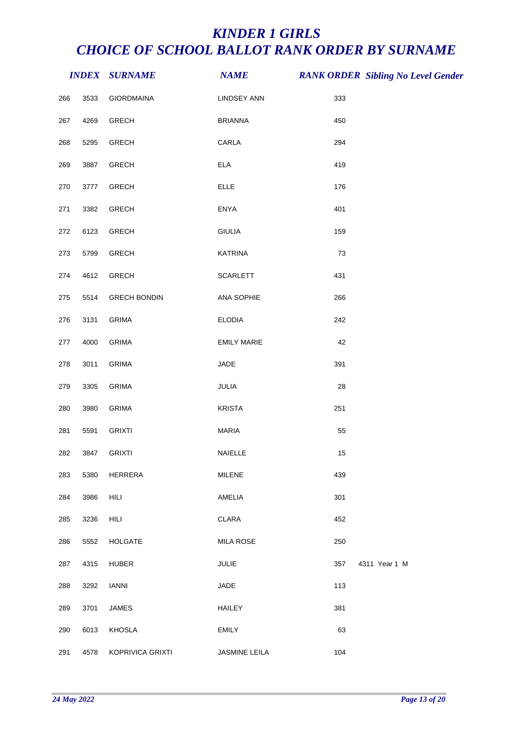|         |      | <b>INDEX SURNAME</b> | <b>NAME</b>                 |     | <b>RANK ORDER Sibling No Level Gender</b> |
|---------|------|----------------------|-----------------------------|-----|-------------------------------------------|
| 266     | 3533 | <b>GIORDMAINA</b>    | <b>LINDSEY ANN</b>          | 333 |                                           |
| 267     | 4269 | <b>GRECH</b>         | <b>BRIANNA</b>              | 450 |                                           |
| 268     | 5295 | <b>GRECH</b>         | CARLA                       | 294 |                                           |
| 269     | 3887 | <b>GRECH</b>         | $\ensuremath{\mathsf{ELA}}$ | 419 |                                           |
| 270     | 3777 | <b>GRECH</b>         | <b>ELLE</b>                 | 176 |                                           |
| 271     | 3382 | <b>GRECH</b>         | <b>ENYA</b>                 | 401 |                                           |
| 272     | 6123 | <b>GRECH</b>         | <b>GIULIA</b>               | 159 |                                           |
| 273     | 5799 | <b>GRECH</b>         | KATRINA                     | 73  |                                           |
| 274     | 4612 | <b>GRECH</b>         | <b>SCARLETT</b>             | 431 |                                           |
| 275     | 5514 | <b>GRECH BONDIN</b>  | ANA SOPHIE                  | 266 |                                           |
| 276     | 3131 | <b>GRIMA</b>         | <b>ELODIA</b>               | 242 |                                           |
| $277\,$ | 4000 | <b>GRIMA</b>         | <b>EMILY MARIE</b>          | 42  |                                           |
| 278     | 3011 | <b>GRIMA</b>         | JADE                        | 391 |                                           |
| 279     | 3305 | <b>GRIMA</b>         | JULIA                       | 28  |                                           |
| 280     | 3980 | <b>GRIMA</b>         | <b>KRISTA</b>               | 251 |                                           |
| 281     | 5591 | <b>GRIXTI</b>        | <b>MARIA</b>                | 55  |                                           |
| 282     | 3847 | <b>GRIXTI</b>        | NAIELLE                     | 15  |                                           |
| 283     | 5380 | HERRERA              | MILENE                      | 439 |                                           |
| 284     | 3986 | HILI                 | AMELIA                      | 301 |                                           |
| 285     | 3236 | HILI                 | CLARA                       | 452 |                                           |
| 286     | 5552 | <b>HOLGATE</b>       | <b>MILA ROSE</b>            | 250 |                                           |
| 287     | 4315 | <b>HUBER</b>         | JULIE                       | 357 | 4311 Year 1 M                             |
| 288     | 3292 | <b>IANNI</b>         | JADE                        | 113 |                                           |
| 289     | 3701 | JAMES                | <b>HAILEY</b>               | 381 |                                           |
| 290     | 6013 | KHOSLA               | <b>EMILY</b>                | 63  |                                           |
| 291     | 4578 | KOPRIVICA GRIXTI     | JASMINE LEILA               | 104 |                                           |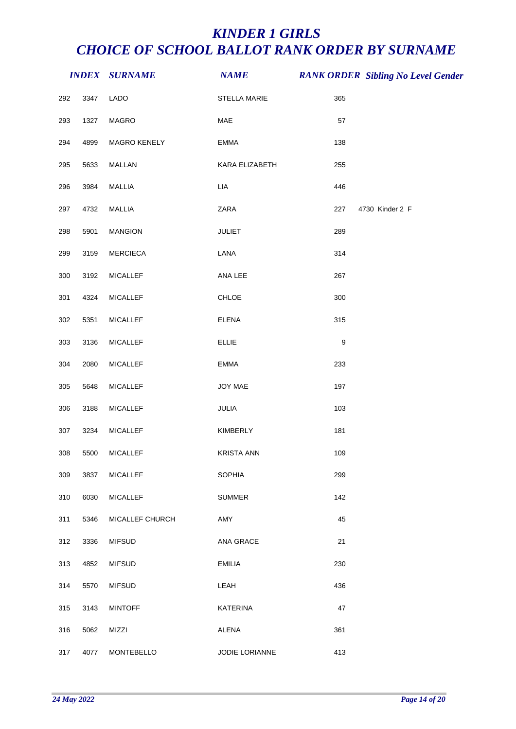|     |      | <b>INDEX SURNAME</b> | <b>NAME</b>       |                  | <b>RANK ORDER Sibling No Level Gender</b> |
|-----|------|----------------------|-------------------|------------------|-------------------------------------------|
| 292 | 3347 | LADO                 | STELLA MARIE      | 365              |                                           |
| 293 | 1327 | MAGRO                | MAE               | 57               |                                           |
| 294 | 4899 | MAGRO KENELY         | EMMA              | 138              |                                           |
| 295 | 5633 | MALLAN               | KARA ELIZABETH    | 255              |                                           |
| 296 | 3984 | MALLIA               | LIA               | 446              |                                           |
| 297 | 4732 | MALLIA               | ZARA              | 227              | 4730 Kinder 2 F                           |
| 298 | 5901 | <b>MANGION</b>       | <b>JULIET</b>     | 289              |                                           |
| 299 | 3159 | <b>MERCIECA</b>      | LANA              | 314              |                                           |
| 300 | 3192 | <b>MICALLEF</b>      | ANA LEE           | 267              |                                           |
| 301 | 4324 | <b>MICALLEF</b>      | CHLOE             | 300              |                                           |
| 302 | 5351 | <b>MICALLEF</b>      | <b>ELENA</b>      | 315              |                                           |
| 303 | 3136 | <b>MICALLEF</b>      | <b>ELLIE</b>      | $\boldsymbol{9}$ |                                           |
| 304 | 2080 | <b>MICALLEF</b>      | <b>EMMA</b>       | 233              |                                           |
| 305 | 5648 | <b>MICALLEF</b>      | JOY MAE           | 197              |                                           |
| 306 | 3188 | <b>MICALLEF</b>      | JULIA             | 103              |                                           |
| 307 | 3234 | <b>MICALLEF</b>      | KIMBERLY          | 181              |                                           |
| 308 | 5500 | <b>MICALLEF</b>      | <b>KRISTA ANN</b> | 109              |                                           |
| 309 | 3837 | <b>MICALLEF</b>      | <b>SOPHIA</b>     | 299              |                                           |
| 310 | 6030 | <b>MICALLEF</b>      | <b>SUMMER</b>     | 142              |                                           |
| 311 | 5346 | MICALLEF CHURCH      | AMY               | 45               |                                           |
| 312 | 3336 | <b>MIFSUD</b>        | ANA GRACE         | 21               |                                           |
| 313 | 4852 | <b>MIFSUD</b>        | <b>EMILIA</b>     | 230              |                                           |
| 314 | 5570 | <b>MIFSUD</b>        | LEAH              | 436              |                                           |
| 315 | 3143 | <b>MINTOFF</b>       | <b>KATERINA</b>   | 47               |                                           |
| 316 | 5062 | MIZZI                | ALENA             | 361              |                                           |
| 317 | 4077 | MONTEBELLO           | JODIE LORIANNE    | 413              |                                           |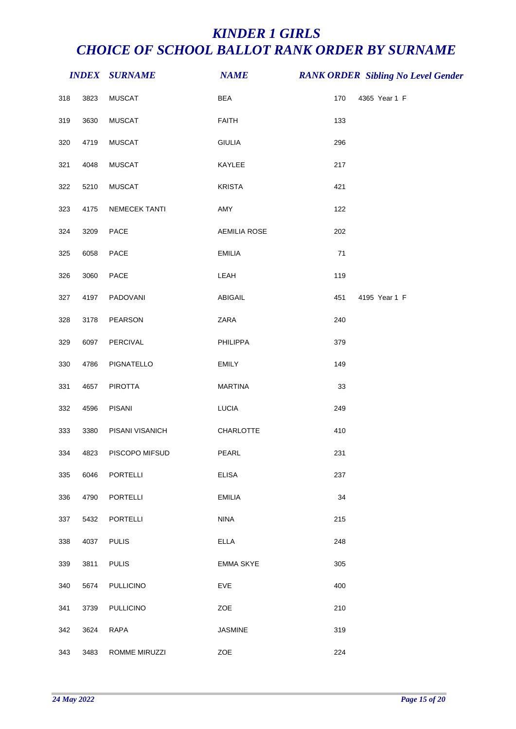|     |      | <b>INDEX SURNAME</b> | <b>NAME</b>         |     | <b>RANK ORDER Sibling No Level Gender</b> |
|-----|------|----------------------|---------------------|-----|-------------------------------------------|
| 318 | 3823 | <b>MUSCAT</b>        | <b>BEA</b>          | 170 | 4365 Year 1 F                             |
| 319 | 3630 | <b>MUSCAT</b>        | <b>FAITH</b>        | 133 |                                           |
| 320 | 4719 | <b>MUSCAT</b>        | <b>GIULIA</b>       | 296 |                                           |
| 321 | 4048 | <b>MUSCAT</b>        | KAYLEE              | 217 |                                           |
| 322 | 5210 | <b>MUSCAT</b>        | <b>KRISTA</b>       | 421 |                                           |
| 323 | 4175 | NEMECEK TANTI        | AMY                 | 122 |                                           |
| 324 | 3209 | PACE                 | <b>AEMILIA ROSE</b> | 202 |                                           |
| 325 | 6058 | PACE                 | <b>EMILIA</b>       | 71  |                                           |
| 326 | 3060 | PACE                 | LEAH                | 119 |                                           |
| 327 | 4197 | PADOVANI             | ABIGAIL             | 451 | 4195 Year 1 F                             |
| 328 | 3178 | <b>PEARSON</b>       | ZARA                | 240 |                                           |
| 329 | 6097 | PERCIVAL             | PHILIPPA            | 379 |                                           |
| 330 | 4786 | PIGNATELLO           | <b>EMILY</b>        | 149 |                                           |
| 331 | 4657 | <b>PIROTTA</b>       | <b>MARTINA</b>      | 33  |                                           |
| 332 | 4596 | <b>PISANI</b>        | <b>LUCIA</b>        | 249 |                                           |
| 333 | 3380 | PISANI VISANICH      | CHARLOTTE           | 410 |                                           |
| 334 | 4823 | PISCOPO MIFSUD       | PEARL               | 231 |                                           |
| 335 | 6046 | <b>PORTELLI</b>      | <b>ELISA</b>        | 237 |                                           |
| 336 | 4790 | <b>PORTELLI</b>      | <b>EMILIA</b>       | 34  |                                           |
| 337 | 5432 | <b>PORTELLI</b>      | <b>NINA</b>         | 215 |                                           |
| 338 | 4037 | <b>PULIS</b>         | <b>ELLA</b>         | 248 |                                           |
| 339 | 3811 | <b>PULIS</b>         | <b>EMMA SKYE</b>    | 305 |                                           |
| 340 | 5674 | <b>PULLICINO</b>     | EVE                 | 400 |                                           |
| 341 | 3739 | <b>PULLICINO</b>     | ZOE                 | 210 |                                           |
| 342 | 3624 | <b>RAPA</b>          | <b>JASMINE</b>      | 319 |                                           |
| 343 | 3483 | ROMME MIRUZZI        | ZOE                 | 224 |                                           |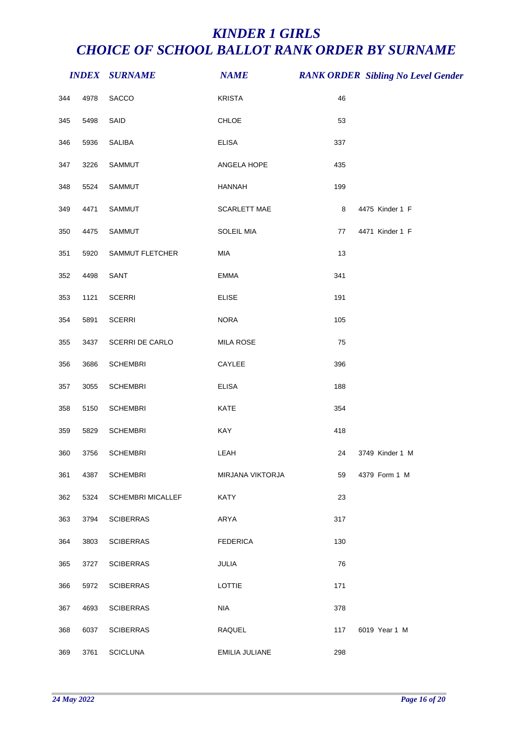|     |      | <b>INDEX SURNAME</b>     | <b>NAME</b>      |     | <b>RANK ORDER Sibling No Level Gender</b> |
|-----|------|--------------------------|------------------|-----|-------------------------------------------|
| 344 | 4978 | SACCO                    | <b>KRISTA</b>    | 46  |                                           |
| 345 | 5498 | SAID                     | CHLOE            | 53  |                                           |
| 346 | 5936 | SALIBA                   | <b>ELISA</b>     | 337 |                                           |
| 347 | 3226 | SAMMUT                   | ANGELA HOPE      | 435 |                                           |
| 348 | 5524 | SAMMUT                   | <b>HANNAH</b>    | 199 |                                           |
| 349 | 4471 | SAMMUT                   | SCARLETT MAE     | 8   | 4475 Kinder 1 F                           |
| 350 | 4475 | SAMMUT                   | SOLEIL MIA       | 77  | 4471 Kinder 1 F                           |
| 351 | 5920 | SAMMUT FLETCHER          | MIA              | 13  |                                           |
| 352 | 4498 | SANT                     | EMMA             | 341 |                                           |
| 353 | 1121 | <b>SCERRI</b>            | <b>ELISE</b>     | 191 |                                           |
| 354 | 5891 | <b>SCERRI</b>            | <b>NORA</b>      | 105 |                                           |
| 355 | 3437 | SCERRI DE CARLO          | <b>MILA ROSE</b> | 75  |                                           |
| 356 | 3686 | <b>SCHEMBRI</b>          | CAYLEE           | 396 |                                           |
| 357 | 3055 | <b>SCHEMBRI</b>          | <b>ELISA</b>     | 188 |                                           |
| 358 | 5150 | <b>SCHEMBRI</b>          | KATE             | 354 |                                           |
| 359 | 5829 | <b>SCHEMBRI</b>          | KAY              | 418 |                                           |
| 360 | 3756 | <b>SCHEMBRI</b>          | LEAH             | 24  | 3749 Kinder 1 M                           |
| 361 | 4387 | <b>SCHEMBRI</b>          | MIRJANA VIKTORJA | 59  | 4379 Form 1 M                             |
| 362 | 5324 | <b>SCHEMBRI MICALLEF</b> | <b>KATY</b>      | 23  |                                           |
| 363 | 3794 | <b>SCIBERRAS</b>         | ARYA             | 317 |                                           |
| 364 | 3803 | <b>SCIBERRAS</b>         | <b>FEDERICA</b>  | 130 |                                           |
| 365 | 3727 | <b>SCIBERRAS</b>         | JULIA            | 76  |                                           |
| 366 | 5972 | <b>SCIBERRAS</b>         | LOTTIE           | 171 |                                           |
| 367 | 4693 | <b>SCIBERRAS</b>         | <b>NIA</b>       | 378 |                                           |
| 368 | 6037 | <b>SCIBERRAS</b>         | RAQUEL           | 117 | 6019 Year 1 M                             |
| 369 | 3761 | <b>SCICLUNA</b>          | EMILIA JULIANE   | 298 |                                           |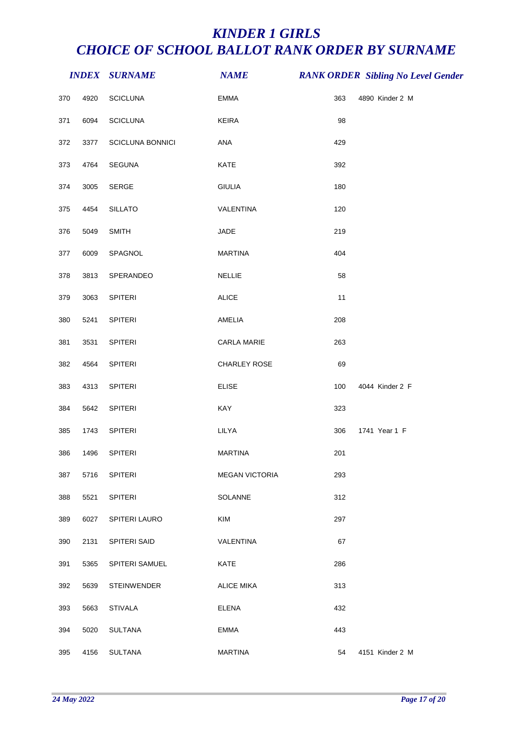|     |      | <b>INDEX SURNAME</b> | <b>NAME</b>           |     | <b>RANK ORDER Sibling No Level Gender</b> |
|-----|------|----------------------|-----------------------|-----|-------------------------------------------|
| 370 | 4920 | <b>SCICLUNA</b>      | <b>EMMA</b>           | 363 | 4890 Kinder 2 M                           |
| 371 | 6094 | <b>SCICLUNA</b>      | <b>KEIRA</b>          | 98  |                                           |
| 372 | 3377 | SCICLUNA BONNICI     | ANA                   | 429 |                                           |
| 373 | 4764 | SEGUNA               | KATE                  | 392 |                                           |
| 374 | 3005 | SERGE                | <b>GIULIA</b>         | 180 |                                           |
| 375 | 4454 | <b>SILLATO</b>       | VALENTINA             | 120 |                                           |
| 376 | 5049 | <b>SMITH</b>         | JADE                  | 219 |                                           |
| 377 | 6009 | SPAGNOL              | <b>MARTINA</b>        | 404 |                                           |
| 378 | 3813 | SPERANDEO            | <b>NELLIE</b>         | 58  |                                           |
| 379 | 3063 | SPITERI              | <b>ALICE</b>          | 11  |                                           |
| 380 | 5241 | <b>SPITERI</b>       | AMELIA                | 208 |                                           |
| 381 | 3531 | SPITERI              | CARLA MARIE           | 263 |                                           |
| 382 | 4564 | SPITERI              | CHARLEY ROSE          | 69  |                                           |
| 383 | 4313 | <b>SPITERI</b>       | <b>ELISE</b>          | 100 | 4044 Kinder 2 F                           |
| 384 | 5642 | SPITERI              | KAY                   | 323 |                                           |
| 385 | 1743 | <b>SPITERI</b>       | LILYA                 | 306 | 1741 Year 1 F                             |
| 386 | 1496 | <b>SPITERI</b>       | <b>MARTINA</b>        | 201 |                                           |
| 387 | 5716 | <b>SPITERI</b>       | <b>MEGAN VICTORIA</b> | 293 |                                           |
| 388 | 5521 | SPITERI              | SOLANNE               | 312 |                                           |
| 389 | 6027 | SPITERI LAURO        | <b>KIM</b>            | 297 |                                           |
| 390 | 2131 | SPITERI SAID         | VALENTINA             | 67  |                                           |
| 391 | 5365 | SPITERI SAMUEL       | <b>KATE</b>           | 286 |                                           |
| 392 | 5639 | STEINWENDER          | <b>ALICE MIKA</b>     | 313 |                                           |
| 393 | 5663 | <b>STIVALA</b>       | <b>ELENA</b>          | 432 |                                           |
| 394 | 5020 | <b>SULTANA</b>       | <b>EMMA</b>           | 443 |                                           |
| 395 | 4156 | SULTANA              | <b>MARTINA</b>        | 54  | 4151 Kinder 2 M                           |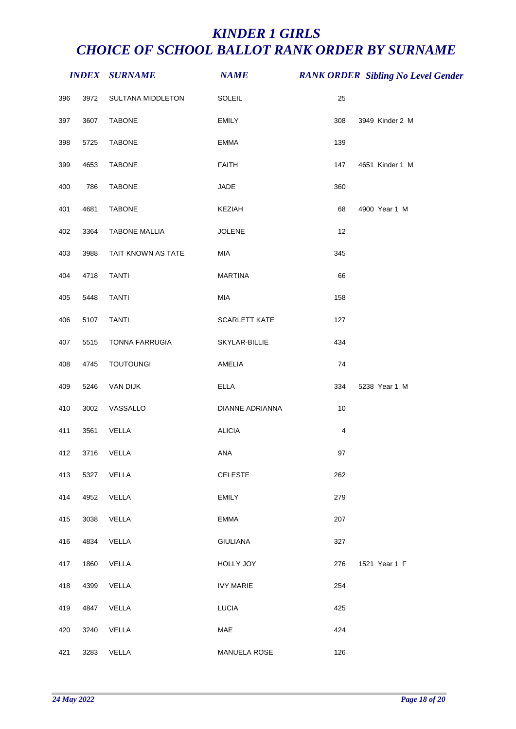|     |      | <b>INDEX SURNAME</b> | <b>NAME</b>      |                | <b>RANK ORDER Sibling No Level Gender</b> |
|-----|------|----------------------|------------------|----------------|-------------------------------------------|
| 396 | 3972 | SULTANA MIDDLETON    | SOLEIL           | 25             |                                           |
| 397 | 3607 | <b>TABONE</b>        | <b>EMILY</b>     | 308            | 3949 Kinder 2 M                           |
| 398 | 5725 | <b>TABONE</b>        | EMMA             | 139            |                                           |
| 399 | 4653 | <b>TABONE</b>        | <b>FAITH</b>     | 147            | 4651 Kinder 1 M                           |
| 400 | 786  | <b>TABONE</b>        | JADE             | 360            |                                           |
| 401 | 4681 | <b>TABONE</b>        | KEZIAH           | 68             | 4900 Year 1 M                             |
| 402 | 3364 | <b>TABONE MALLIA</b> | <b>JOLENE</b>    | 12             |                                           |
| 403 | 3988 | TAIT KNOWN AS TATE   | MIA              | 345            |                                           |
| 404 | 4718 | <b>TANTI</b>         | <b>MARTINA</b>   | 66             |                                           |
| 405 | 5448 | <b>TANTI</b>         | MIA              | 158            |                                           |
| 406 | 5107 | <b>TANTI</b>         | SCARLETT KATE    | 127            |                                           |
| 407 | 5515 | TONNA FARRUGIA       | SKYLAR-BILLIE    | 434            |                                           |
| 408 | 4745 | <b>TOUTOUNGI</b>     | AMELIA           | 74             |                                           |
| 409 | 5246 | VAN DIJK             | <b>ELLA</b>      | 334            | 5238 Year 1 M                             |
| 410 | 3002 | VASSALLO             | DIANNE ADRIANNA  | 10             |                                           |
| 411 | 3561 | VELLA                | <b>ALICIA</b>    | $\overline{4}$ |                                           |
| 412 | 3716 | VELLA                | ANA              | 97             |                                           |
| 413 | 5327 | VELLA                | <b>CELESTE</b>   | 262            |                                           |
| 414 | 4952 | VELLA                | <b>EMILY</b>     | 279            |                                           |
| 415 | 3038 | VELLA                | EMMA             | 207            |                                           |
| 416 | 4834 | VELLA                | <b>GIULIANA</b>  | 327            |                                           |
| 417 | 1860 | VELLA                | HOLLY JOY        | 276            | 1521 Year 1 F                             |
| 418 | 4399 | VELLA                | <b>IVY MARIE</b> | 254            |                                           |
| 419 | 4847 | VELLA                | <b>LUCIA</b>     | 425            |                                           |
| 420 | 3240 | VELLA                | MAE              | 424            |                                           |
| 421 | 3283 | VELLA                | MANUELA ROSE     | 126            |                                           |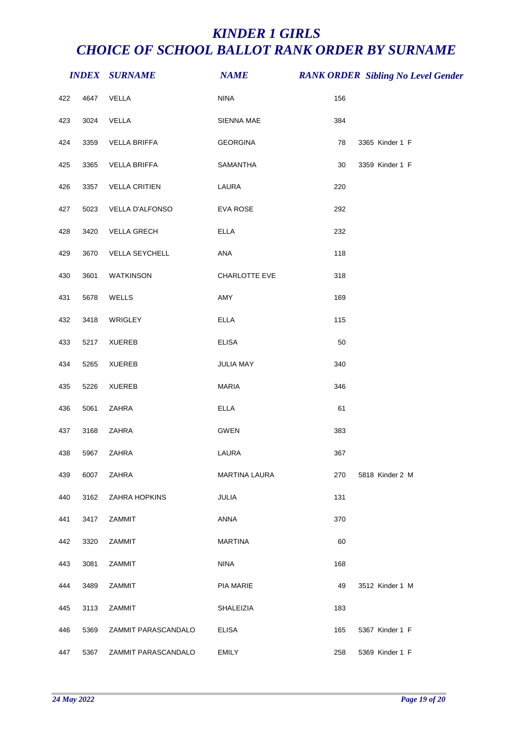|     |      | <b>INDEX SURNAME</b> | <b>NAME</b>      |     | <b>RANK ORDER Sibling No Level Gender</b> |
|-----|------|----------------------|------------------|-----|-------------------------------------------|
| 422 | 4647 | VELLA                | <b>NINA</b>      | 156 |                                           |
| 423 | 3024 | VELLA                | SIENNA MAE       | 384 |                                           |
| 424 | 3359 | <b>VELLA BRIFFA</b>  | <b>GEORGINA</b>  | 78  | 3365 Kinder 1 F                           |
| 425 | 3365 | VELLA BRIFFA         | SAMANTHA         | 30  | 3359 Kinder 1 F                           |
| 426 | 3357 | <b>VELLA CRITIEN</b> | LAURA            | 220 |                                           |
| 427 | 5023 | VELLA D'ALFONSO      | EVA ROSE         | 292 |                                           |
| 428 | 3420 | <b>VELLA GRECH</b>   | <b>ELLA</b>      | 232 |                                           |
| 429 | 3670 | VELLA SEYCHELL       | ANA              | 118 |                                           |
| 430 | 3601 | WATKINSON            | CHARLOTTE EVE    | 318 |                                           |
| 431 | 5678 | WELLS                | AMY              | 169 |                                           |
| 432 | 3418 | WRIGLEY              | <b>ELLA</b>      | 115 |                                           |
| 433 | 5217 | <b>XUEREB</b>        | <b>ELISA</b>     | 50  |                                           |
| 434 | 5265 | <b>XUEREB</b>        | JULIA MAY        | 340 |                                           |
| 435 | 5226 | <b>XUEREB</b>        | <b>MARIA</b>     | 346 |                                           |
| 436 | 5061 | ZAHRA                | <b>ELLA</b>      | 61  |                                           |
| 437 | 3168 | ZAHRA                | GWEN             | 383 |                                           |
| 438 | 5967 | ZAHRA                | LAURA            | 367 |                                           |
| 439 | 6007 | ZAHRA                | MARTINA LAURA    | 270 | 5818 Kinder 2 M                           |
| 440 | 3162 | ZAHRA HOPKINS        | JULIA            | 131 |                                           |
| 441 | 3417 | <b>ZAMMIT</b>        | ANNA             | 370 |                                           |
| 442 | 3320 | ZAMMIT               | <b>MARTINA</b>   | 60  |                                           |
| 443 | 3081 | ZAMMIT               | <b>NINA</b>      | 168 |                                           |
| 444 | 3489 | ZAMMIT               | PIA MARIE        | 49  | 3512 Kinder 1 M                           |
| 445 | 3113 | ZAMMIT               | <b>SHALEIZIA</b> | 183 |                                           |
| 446 | 5369 | ZAMMIT PARASCANDALO  | <b>ELISA</b>     | 165 | 5367 Kinder 1 F                           |
| 447 | 5367 | ZAMMIT PARASCANDALO  | <b>EMILY</b>     | 258 | 5369 Kinder 1 F                           |